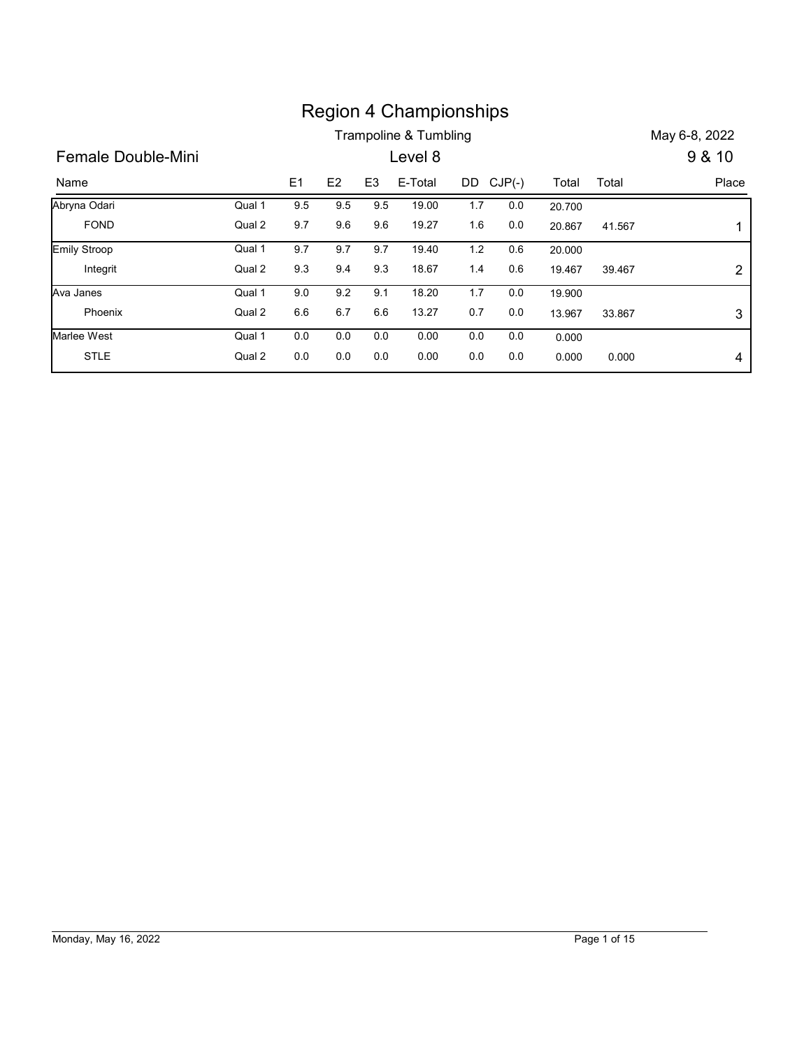|                    |        |     |               |                | <b>Region 4 Championships</b> |     |           |        |        |                           |
|--------------------|--------|-----|---------------|----------------|-------------------------------|-----|-----------|--------|--------|---------------------------|
| Female Double-Mini |        |     |               |                | Trampoline & Tumbling         |     |           |        |        | May 6-8, 2022             |
| Name               |        | E1  | $\mathsf{E}2$ | E <sub>3</sub> | Level 8<br>E-Total            |     | DD CJP(-) | Total  | Total  | 9 & 10<br>Place           |
| Abryna Odari       | Qual 1 | 9.5 | 9.5           | 9.5            | 19.00                         | 1.7 | 0.0       | 20.700 |        |                           |
| <b>FOND</b>        | Qual 2 | 9.7 | 9.6           | 9.6            | 19.27                         | 1.6 | $0.0\,$   | 20.867 | 41.567 | 1                         |
| Emily Stroop       | Qual 1 | 9.7 | 9.7           | 9.7            | 19.40                         | 1.2 | 0.6       | 20.000 |        |                           |
| Integrit           | Qual 2 | 9.3 | 9.4           | 9.3            | 18.67                         | 1.4 | 0.6       | 19.467 | 39.467 | $\overline{c}$            |
| Ava Janes          | Qual 1 | 9.0 | 9.2           | 9.1            | 18.20                         | 1.7 | 0.0       | 19.900 |        |                           |
| Phoenix            | Qual 2 | 6.6 | 6.7           | 6.6            | 13.27                         | 0.7 | $0.0\,$   | 13.967 | 33.867 | $\ensuremath{\mathsf{3}}$ |
| Marlee West        | Qual 1 | 0.0 | 0.0           | 0.0            | 0.00                          | 0.0 | 0.0       | 0.000  |        |                           |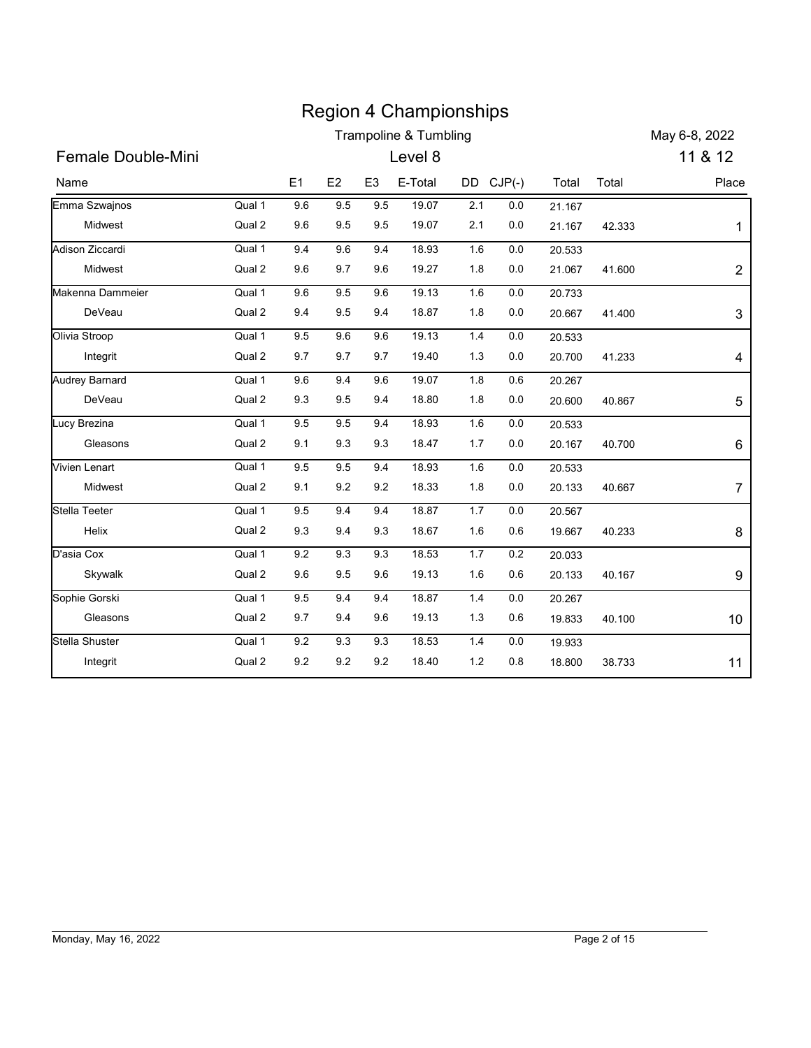|                          |                  |                |            |                | <b>Region 4 Championships</b> |            |            |                  |        |                  |
|--------------------------|------------------|----------------|------------|----------------|-------------------------------|------------|------------|------------------|--------|------------------|
|                          |                  |                |            |                | Trampoline & Tumbling         |            |            |                  |        | May 6-8, 2022    |
| Female Double-Mini       |                  |                |            |                | Level 8                       |            |            |                  |        | 11 & 12          |
| Name                     |                  | E1             | E2         | E <sub>3</sub> | E-Total                       |            | DD CJP(-)  | Total            | Total  | Place            |
| Emma Szwajnos<br>Midwest | Qual 1<br>Qual 2 | $9.6\,$<br>9.6 | 9.5<br>9.5 | 9.5<br>9.5     | 19.07<br>19.07                | 2.1<br>2.1 | 0.0<br>0.0 | 21.167<br>21.167 | 42.333 | 1                |
| Adison Ziccardi          | Qual 1           | 9.4            | 9.6        | 9.4            | 18.93                         | 1.6        | 0.0        | 20.533           |        |                  |
| Midwest                  | Qual 2           | 9.6            | 9.7        | 9.6            | 19.27                         | 1.8        | 0.0        | 21.067           | 41.600 | $\overline{2}$   |
| Makenna Dammeier         | Qual 1           | 9.6            | 9.5        | 9.6            | 19.13                         | 1.6        | 0.0        | 20.733           |        |                  |
| DeVeau                   | Qual 2           | 9.4            | 9.5        | 9.4            | 18.87                         | 1.8        | 0.0        | 20.667           | 41.400 | $\mathfrak{S}$   |
| Olivia Stroop            | Qual 1           | 9.5            | 9.6        | 9.6            | 19.13                         | $1.4$      | 0.0        | 20.533           |        |                  |
| Integrit                 | Qual 2           | 9.7            | 9.7        | 9.7            | 19.40                         | 1.3        | 0.0        | 20.700           | 41.233 | 4                |
| <b>Audrey Barnard</b>    | Qual 1           | 9.6            | 9.4        | 9.6            | 19.07                         | 1.8        | 0.6        | 20.267           |        |                  |
| DeVeau                   | Qual 2           | 9.3            | 9.5        | 9.4            | 18.80                         | 1.8        | $0.0\,$    | 20.600           | 40.867 | 5                |
| Lucy Brezina             | Qual 1           | 9.5            | 9.5        | 9.4            | 18.93                         | 1.6        | 0.0        | 20.533           |        |                  |
| Gleasons                 | Qual 2           | 9.1            | 9.3        | 9.3            | 18.47                         | 1.7        | 0.0        | 20.167           | 40.700 | 6                |
| Vivien Lenart            | Qual 1           | 9.5            | 9.5        | 9.4            | 18.93                         | 1.6        | 0.0        | 20.533           |        |                  |
| Midwest                  | Qual 2           | 9.1            | 9.2        | 9.2            | 18.33                         | 1.8        | 0.0        | 20.133           | 40.667 | $\boldsymbol{7}$ |
| Stella Teeter            | Qual 1           | $9.5\,$        | 9.4        | 9.4            | 18.87                         | $1.7$      | $0.0\,$    | 20.567           |        |                  |
| Helix                    | Qual 2           | 9.3            | 9.4        | 9.3            | 18.67                         | 1.6        | 0.6        | 19.667           | 40.233 | 8                |
| D'asia Cox<br>Skywalk    | Qual 1<br>Qual 2 | 9.2<br>$9.6\,$ | 9.3<br>9.5 | 9.3<br>9.6     | 18.53<br>19.13                | 1.7<br>1.6 | 0.2<br>0.6 | 20.033<br>20.133 | 40.167 | 9                |
| Sophie Gorski            | Qual 1           | $9.5\,$        | 9.4        | 9.4            | 18.87                         | $1.4$      | 0.0        | 20.267           |        |                  |
| Gleasons                 | Qual 2           | 9.7            | 9.4        | 9.6            | 19.13                         | 1.3        | 0.6        | 19.833           | 40.100 | $10$             |
| Stella Shuster           | Qual 1           | 9.2            | 9.3        | 9.3            | 18.53                         | 1.4        | 0.0        | 19.933           |        |                  |
| Integrit                 | Qual 2           | $9.2\,$        | 9.2        | 9.2            | 18.40                         | $1.2$      | 0.8        | 18.800           | 38.733 | 11               |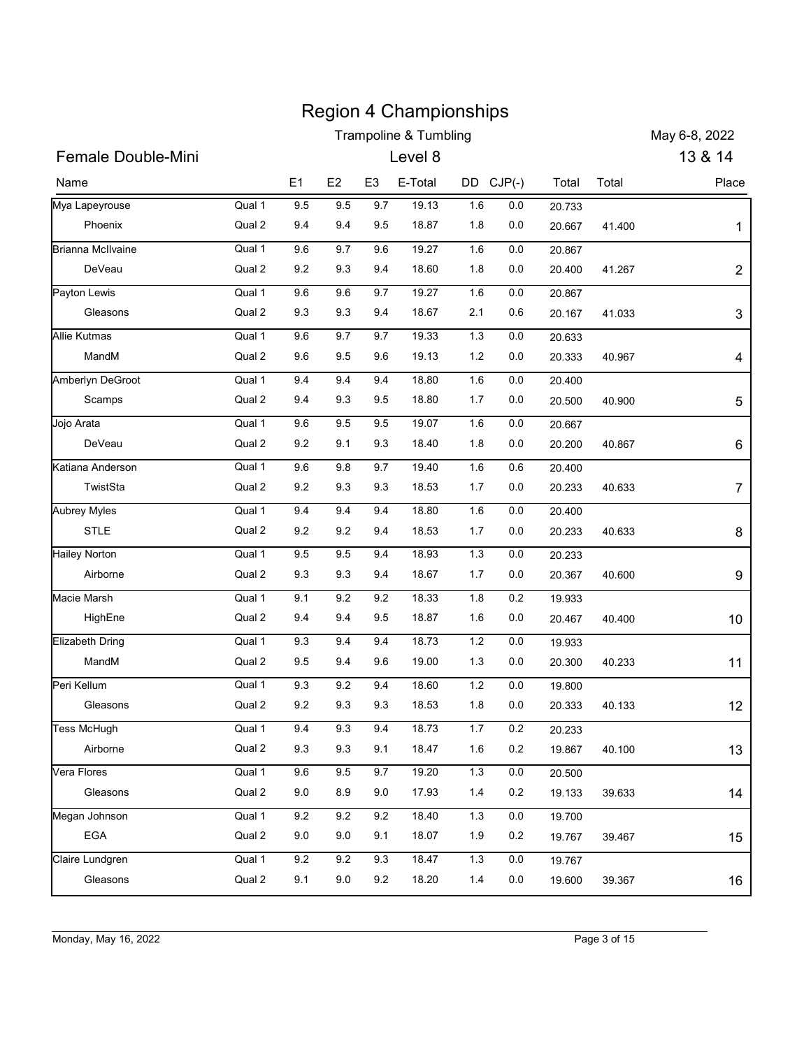| <b>Trampoline &amp; Tumbling</b><br>13 & 14<br><b>Female Double-Mini</b><br>Level 8<br>DD CJP(-)<br>E1<br>E <sub>2</sub><br>E <sub>3</sub><br>E-Total<br>Total<br>Total<br>Qual 1<br>9.5<br>9.5<br>9.7<br>19.13<br>1.6<br>0.0<br>20.733<br>Qual 2<br>9.4<br>9.4<br>9.5<br>18.87<br>1.8<br>0.0<br>Phoenix<br>20.667<br>41.400<br>Qual 1<br>9.6<br>9.7<br>9.6<br>19.27<br>0.0<br>1.6<br>20.867<br>Qual 2<br>DeVeau<br>9.2<br>9.3<br>9.4<br>18.60<br>1.8<br>0.0<br>20.400<br>41.267<br>Qual 1<br>9.6<br>9.6<br>9.7<br>19.27<br>1.6<br>0.0<br>20.867<br>Qual 2<br>9.3<br>9.3<br>9.4<br>18.67<br>0.6<br>2.1<br>Gleasons<br>20.167<br>41.033<br>Qual 1<br>9.6<br>9.7<br>9.7<br>19.33<br>1.3<br>0.0<br>20.633<br>Qual 2<br>19.13<br>MandM<br>9.6<br>9.5<br>9.6<br>1.2<br>0.0<br>20.333<br>40.967<br>Qual 1<br>9.4<br>9.4<br>9.4<br>18.80<br>1.6<br>0.0<br>20.400<br>Qual 2<br>9.4<br>9.3<br>9.5<br>18.80<br>1.7<br>0.0<br>Scamps<br>20.500<br>40.900<br>Qual 1<br>$9.5\,$<br>19.07<br>9.6<br>9.5<br>1.6<br>0.0<br>20.667<br>Qual 2<br>$9.2\,$<br>9.3<br>18.40<br>DeVeau<br>9.1<br>1.8<br>0.0<br>20.200<br>40.867<br>9.6<br>9.7<br>Qual 1<br>$9.8\,$<br>19.40<br>1.6<br>0.6<br>20.400<br>Qual 2<br>TwistSta<br>9.2<br>9.3<br>9.3<br>18.53<br>1.7<br>0.0<br>20.233<br>40.633<br>Qual 1<br>9.4<br>9.4<br>9.4<br>18.80<br>1.6<br>$0.0\,$<br>20.400<br>STLE<br>Qual 2<br>9.2<br>9.2<br>9.4<br>18.53<br>1.7<br>0.0<br>20.233<br>40.633<br>Qual 1<br>9.5<br>9.5<br>9.4<br>1.3<br>18.93<br>$0.0\,$<br>20.233<br>Qual 2<br>Airborne<br>9.3<br>9.3<br>9.4<br>18.67<br>1.7<br>0.0<br>20.367<br>40.600<br>Qual 1<br>9.1<br>9.2<br>9.2<br>18.33<br>1.8<br>0.2<br>19.933<br>Qual 2<br>9.4<br>18.87<br>HighEne<br>9.4<br>9.5<br>1.6<br>0.0<br>20.467<br>40.400<br>9.4<br>1.2<br>Qual 1<br>$9.3\,$<br>9.4<br>18.73<br>$0.0\,$<br>19.933<br>MandM<br>Qual 2<br>9.5<br>9.4<br>9.6<br>19.00<br>1.3<br>0.0<br>20.300<br>40.233<br>Qual 1<br>$9.3\,$<br>9.2<br>9.4<br>18.60<br>1.2<br>$0.0\,$<br>19.800<br>Qual 2<br>Gleasons<br>9.2<br>9.3<br>9.3<br>18.53<br>1.8<br>0.0<br>20.333<br>40.133<br>Qual 1<br>9.4<br>9.3<br>9.4<br>18.73<br>1.7<br>$0.2\,$<br>20.233<br>Qual 2<br>Airborne<br>9.3<br>9.3<br>9.1<br>18.47<br>1.6<br>0.2<br>19.867<br>40.100<br>Qual 1<br>$9.6\,$<br>9.5<br>9.7<br>19.20<br>1.3<br>0.0<br>20.500<br>Qual 2<br>9.0<br>8.9<br>9.0<br>17.93<br>1.4<br>0.2<br>Gleasons<br>19.133<br>39.633<br>Qual 1<br>$9.2\,$<br>$9.2\,$<br>$9.2\,$<br>18.40<br>1.3<br>$0.0\,$<br>19.700<br>EGA<br>Qual 2<br>9.0<br>9.0<br>9.1<br>18.07<br>1.9<br>0.2<br>19.767<br>39.467<br>Qual 1<br>$9.2\,$<br>$9.2\,$<br>9.3<br>18.47<br>1.3<br>0.0<br>19.767 |          |        |     |     |     | <b>Region 4 Championships</b> |     |     |        |        |                |
|--------------------------------------------------------------------------------------------------------------------------------------------------------------------------------------------------------------------------------------------------------------------------------------------------------------------------------------------------------------------------------------------------------------------------------------------------------------------------------------------------------------------------------------------------------------------------------------------------------------------------------------------------------------------------------------------------------------------------------------------------------------------------------------------------------------------------------------------------------------------------------------------------------------------------------------------------------------------------------------------------------------------------------------------------------------------------------------------------------------------------------------------------------------------------------------------------------------------------------------------------------------------------------------------------------------------------------------------------------------------------------------------------------------------------------------------------------------------------------------------------------------------------------------------------------------------------------------------------------------------------------------------------------------------------------------------------------------------------------------------------------------------------------------------------------------------------------------------------------------------------------------------------------------------------------------------------------------------------------------------------------------------------------------------------------------------------------------------------------------------------------------------------------------------------------------------------------------------------------------------------------------------------------------------------------------------------------------------------------------------------------------------------------------------------------------------------------------------------------------------------------------------------------------------------------------------------------------------------------------------------------|----------|--------|-----|-----|-----|-------------------------------|-----|-----|--------|--------|----------------|
| Name<br>Mya Lapeyrouse<br><b>Brianna McIlvaine</b><br>Payton Lewis<br>Jojo Arata                                                                                                                                                                                                                                                                                                                                                                                                                                                                                                                                                                                                                                                                                                                                                                                                                                                                                                                                                                                                                                                                                                                                                                                                                                                                                                                                                                                                                                                                                                                                                                                                                                                                                                                                                                                                                                                                                                                                                                                                                                                                                                                                                                                                                                                                                                                                                                                                                                                                                                                                               |          |        |     |     |     |                               |     |     |        |        | May 6-8, 2022  |
|                                                                                                                                                                                                                                                                                                                                                                                                                                                                                                                                                                                                                                                                                                                                                                                                                                                                                                                                                                                                                                                                                                                                                                                                                                                                                                                                                                                                                                                                                                                                                                                                                                                                                                                                                                                                                                                                                                                                                                                                                                                                                                                                                                                                                                                                                                                                                                                                                                                                                                                                                                                                                                |          |        |     |     |     |                               |     |     |        |        |                |
|                                                                                                                                                                                                                                                                                                                                                                                                                                                                                                                                                                                                                                                                                                                                                                                                                                                                                                                                                                                                                                                                                                                                                                                                                                                                                                                                                                                                                                                                                                                                                                                                                                                                                                                                                                                                                                                                                                                                                                                                                                                                                                                                                                                                                                                                                                                                                                                                                                                                                                                                                                                                                                |          |        |     |     |     |                               |     |     |        |        | Place          |
|                                                                                                                                                                                                                                                                                                                                                                                                                                                                                                                                                                                                                                                                                                                                                                                                                                                                                                                                                                                                                                                                                                                                                                                                                                                                                                                                                                                                                                                                                                                                                                                                                                                                                                                                                                                                                                                                                                                                                                                                                                                                                                                                                                                                                                                                                                                                                                                                                                                                                                                                                                                                                                |          |        |     |     |     |                               |     |     |        |        |                |
|                                                                                                                                                                                                                                                                                                                                                                                                                                                                                                                                                                                                                                                                                                                                                                                                                                                                                                                                                                                                                                                                                                                                                                                                                                                                                                                                                                                                                                                                                                                                                                                                                                                                                                                                                                                                                                                                                                                                                                                                                                                                                                                                                                                                                                                                                                                                                                                                                                                                                                                                                                                                                                |          |        |     |     |     |                               |     |     |        |        |                |
|                                                                                                                                                                                                                                                                                                                                                                                                                                                                                                                                                                                                                                                                                                                                                                                                                                                                                                                                                                                                                                                                                                                                                                                                                                                                                                                                                                                                                                                                                                                                                                                                                                                                                                                                                                                                                                                                                                                                                                                                                                                                                                                                                                                                                                                                                                                                                                                                                                                                                                                                                                                                                                |          |        |     |     |     |                               |     |     |        |        |                |
|                                                                                                                                                                                                                                                                                                                                                                                                                                                                                                                                                                                                                                                                                                                                                                                                                                                                                                                                                                                                                                                                                                                                                                                                                                                                                                                                                                                                                                                                                                                                                                                                                                                                                                                                                                                                                                                                                                                                                                                                                                                                                                                                                                                                                                                                                                                                                                                                                                                                                                                                                                                                                                |          |        |     |     |     |                               |     |     |        |        | $\overline{2}$ |
| <b>Allie Kutmas</b><br>Amberlyn DeGroot<br>Katiana Anderson<br><b>Aubrey Myles</b><br><b>Hailey Norton</b><br>Macie Marsh<br>Elizabeth Dring<br>Peri Kellum<br>Tess McHugh<br>Vera Flores<br>Megan Johnson<br>Claire Lundgren                                                                                                                                                                                                                                                                                                                                                                                                                                                                                                                                                                                                                                                                                                                                                                                                                                                                                                                                                                                                                                                                                                                                                                                                                                                                                                                                                                                                                                                                                                                                                                                                                                                                                                                                                                                                                                                                                                                                                                                                                                                                                                                                                                                                                                                                                                                                                                                                  |          |        |     |     |     |                               |     |     |        |        |                |
|                                                                                                                                                                                                                                                                                                                                                                                                                                                                                                                                                                                                                                                                                                                                                                                                                                                                                                                                                                                                                                                                                                                                                                                                                                                                                                                                                                                                                                                                                                                                                                                                                                                                                                                                                                                                                                                                                                                                                                                                                                                                                                                                                                                                                                                                                                                                                                                                                                                                                                                                                                                                                                |          |        |     |     |     |                               |     |     |        |        | 3              |
|                                                                                                                                                                                                                                                                                                                                                                                                                                                                                                                                                                                                                                                                                                                                                                                                                                                                                                                                                                                                                                                                                                                                                                                                                                                                                                                                                                                                                                                                                                                                                                                                                                                                                                                                                                                                                                                                                                                                                                                                                                                                                                                                                                                                                                                                                                                                                                                                                                                                                                                                                                                                                                |          |        |     |     |     |                               |     |     |        |        |                |
|                                                                                                                                                                                                                                                                                                                                                                                                                                                                                                                                                                                                                                                                                                                                                                                                                                                                                                                                                                                                                                                                                                                                                                                                                                                                                                                                                                                                                                                                                                                                                                                                                                                                                                                                                                                                                                                                                                                                                                                                                                                                                                                                                                                                                                                                                                                                                                                                                                                                                                                                                                                                                                |          |        |     |     |     |                               |     |     |        |        | 4              |
|                                                                                                                                                                                                                                                                                                                                                                                                                                                                                                                                                                                                                                                                                                                                                                                                                                                                                                                                                                                                                                                                                                                                                                                                                                                                                                                                                                                                                                                                                                                                                                                                                                                                                                                                                                                                                                                                                                                                                                                                                                                                                                                                                                                                                                                                                                                                                                                                                                                                                                                                                                                                                                |          |        |     |     |     |                               |     |     |        |        |                |
|                                                                                                                                                                                                                                                                                                                                                                                                                                                                                                                                                                                                                                                                                                                                                                                                                                                                                                                                                                                                                                                                                                                                                                                                                                                                                                                                                                                                                                                                                                                                                                                                                                                                                                                                                                                                                                                                                                                                                                                                                                                                                                                                                                                                                                                                                                                                                                                                                                                                                                                                                                                                                                |          |        |     |     |     |                               |     |     |        |        | 5              |
|                                                                                                                                                                                                                                                                                                                                                                                                                                                                                                                                                                                                                                                                                                                                                                                                                                                                                                                                                                                                                                                                                                                                                                                                                                                                                                                                                                                                                                                                                                                                                                                                                                                                                                                                                                                                                                                                                                                                                                                                                                                                                                                                                                                                                                                                                                                                                                                                                                                                                                                                                                                                                                |          |        |     |     |     |                               |     |     |        |        |                |
|                                                                                                                                                                                                                                                                                                                                                                                                                                                                                                                                                                                                                                                                                                                                                                                                                                                                                                                                                                                                                                                                                                                                                                                                                                                                                                                                                                                                                                                                                                                                                                                                                                                                                                                                                                                                                                                                                                                                                                                                                                                                                                                                                                                                                                                                                                                                                                                                                                                                                                                                                                                                                                |          |        |     |     |     |                               |     |     |        |        | 6              |
|                                                                                                                                                                                                                                                                                                                                                                                                                                                                                                                                                                                                                                                                                                                                                                                                                                                                                                                                                                                                                                                                                                                                                                                                                                                                                                                                                                                                                                                                                                                                                                                                                                                                                                                                                                                                                                                                                                                                                                                                                                                                                                                                                                                                                                                                                                                                                                                                                                                                                                                                                                                                                                |          |        |     |     |     |                               |     |     |        |        |                |
|                                                                                                                                                                                                                                                                                                                                                                                                                                                                                                                                                                                                                                                                                                                                                                                                                                                                                                                                                                                                                                                                                                                                                                                                                                                                                                                                                                                                                                                                                                                                                                                                                                                                                                                                                                                                                                                                                                                                                                                                                                                                                                                                                                                                                                                                                                                                                                                                                                                                                                                                                                                                                                |          |        |     |     |     |                               |     |     |        |        | 7              |
|                                                                                                                                                                                                                                                                                                                                                                                                                                                                                                                                                                                                                                                                                                                                                                                                                                                                                                                                                                                                                                                                                                                                                                                                                                                                                                                                                                                                                                                                                                                                                                                                                                                                                                                                                                                                                                                                                                                                                                                                                                                                                                                                                                                                                                                                                                                                                                                                                                                                                                                                                                                                                                |          |        |     |     |     |                               |     |     |        |        |                |
|                                                                                                                                                                                                                                                                                                                                                                                                                                                                                                                                                                                                                                                                                                                                                                                                                                                                                                                                                                                                                                                                                                                                                                                                                                                                                                                                                                                                                                                                                                                                                                                                                                                                                                                                                                                                                                                                                                                                                                                                                                                                                                                                                                                                                                                                                                                                                                                                                                                                                                                                                                                                                                |          |        |     |     |     |                               |     |     |        |        | 8              |
|                                                                                                                                                                                                                                                                                                                                                                                                                                                                                                                                                                                                                                                                                                                                                                                                                                                                                                                                                                                                                                                                                                                                                                                                                                                                                                                                                                                                                                                                                                                                                                                                                                                                                                                                                                                                                                                                                                                                                                                                                                                                                                                                                                                                                                                                                                                                                                                                                                                                                                                                                                                                                                |          |        |     |     |     |                               |     |     |        |        |                |
|                                                                                                                                                                                                                                                                                                                                                                                                                                                                                                                                                                                                                                                                                                                                                                                                                                                                                                                                                                                                                                                                                                                                                                                                                                                                                                                                                                                                                                                                                                                                                                                                                                                                                                                                                                                                                                                                                                                                                                                                                                                                                                                                                                                                                                                                                                                                                                                                                                                                                                                                                                                                                                |          |        |     |     |     |                               |     |     |        |        | 9              |
|                                                                                                                                                                                                                                                                                                                                                                                                                                                                                                                                                                                                                                                                                                                                                                                                                                                                                                                                                                                                                                                                                                                                                                                                                                                                                                                                                                                                                                                                                                                                                                                                                                                                                                                                                                                                                                                                                                                                                                                                                                                                                                                                                                                                                                                                                                                                                                                                                                                                                                                                                                                                                                |          |        |     |     |     |                               |     |     |        |        |                |
|                                                                                                                                                                                                                                                                                                                                                                                                                                                                                                                                                                                                                                                                                                                                                                                                                                                                                                                                                                                                                                                                                                                                                                                                                                                                                                                                                                                                                                                                                                                                                                                                                                                                                                                                                                                                                                                                                                                                                                                                                                                                                                                                                                                                                                                                                                                                                                                                                                                                                                                                                                                                                                |          |        |     |     |     |                               |     |     |        |        | 10             |
|                                                                                                                                                                                                                                                                                                                                                                                                                                                                                                                                                                                                                                                                                                                                                                                                                                                                                                                                                                                                                                                                                                                                                                                                                                                                                                                                                                                                                                                                                                                                                                                                                                                                                                                                                                                                                                                                                                                                                                                                                                                                                                                                                                                                                                                                                                                                                                                                                                                                                                                                                                                                                                |          |        |     |     |     |                               |     |     |        |        |                |
|                                                                                                                                                                                                                                                                                                                                                                                                                                                                                                                                                                                                                                                                                                                                                                                                                                                                                                                                                                                                                                                                                                                                                                                                                                                                                                                                                                                                                                                                                                                                                                                                                                                                                                                                                                                                                                                                                                                                                                                                                                                                                                                                                                                                                                                                                                                                                                                                                                                                                                                                                                                                                                |          |        |     |     |     |                               |     |     |        |        | 11             |
|                                                                                                                                                                                                                                                                                                                                                                                                                                                                                                                                                                                                                                                                                                                                                                                                                                                                                                                                                                                                                                                                                                                                                                                                                                                                                                                                                                                                                                                                                                                                                                                                                                                                                                                                                                                                                                                                                                                                                                                                                                                                                                                                                                                                                                                                                                                                                                                                                                                                                                                                                                                                                                |          |        |     |     |     |                               |     |     |        |        |                |
|                                                                                                                                                                                                                                                                                                                                                                                                                                                                                                                                                                                                                                                                                                                                                                                                                                                                                                                                                                                                                                                                                                                                                                                                                                                                                                                                                                                                                                                                                                                                                                                                                                                                                                                                                                                                                                                                                                                                                                                                                                                                                                                                                                                                                                                                                                                                                                                                                                                                                                                                                                                                                                |          |        |     |     |     |                               |     |     |        |        | 12             |
|                                                                                                                                                                                                                                                                                                                                                                                                                                                                                                                                                                                                                                                                                                                                                                                                                                                                                                                                                                                                                                                                                                                                                                                                                                                                                                                                                                                                                                                                                                                                                                                                                                                                                                                                                                                                                                                                                                                                                                                                                                                                                                                                                                                                                                                                                                                                                                                                                                                                                                                                                                                                                                |          |        |     |     |     |                               |     |     |        |        |                |
|                                                                                                                                                                                                                                                                                                                                                                                                                                                                                                                                                                                                                                                                                                                                                                                                                                                                                                                                                                                                                                                                                                                                                                                                                                                                                                                                                                                                                                                                                                                                                                                                                                                                                                                                                                                                                                                                                                                                                                                                                                                                                                                                                                                                                                                                                                                                                                                                                                                                                                                                                                                                                                |          |        |     |     |     |                               |     |     |        |        | 13             |
|                                                                                                                                                                                                                                                                                                                                                                                                                                                                                                                                                                                                                                                                                                                                                                                                                                                                                                                                                                                                                                                                                                                                                                                                                                                                                                                                                                                                                                                                                                                                                                                                                                                                                                                                                                                                                                                                                                                                                                                                                                                                                                                                                                                                                                                                                                                                                                                                                                                                                                                                                                                                                                |          |        |     |     |     |                               |     |     |        |        |                |
|                                                                                                                                                                                                                                                                                                                                                                                                                                                                                                                                                                                                                                                                                                                                                                                                                                                                                                                                                                                                                                                                                                                                                                                                                                                                                                                                                                                                                                                                                                                                                                                                                                                                                                                                                                                                                                                                                                                                                                                                                                                                                                                                                                                                                                                                                                                                                                                                                                                                                                                                                                                                                                |          |        |     |     |     |                               |     |     |        |        | 14             |
|                                                                                                                                                                                                                                                                                                                                                                                                                                                                                                                                                                                                                                                                                                                                                                                                                                                                                                                                                                                                                                                                                                                                                                                                                                                                                                                                                                                                                                                                                                                                                                                                                                                                                                                                                                                                                                                                                                                                                                                                                                                                                                                                                                                                                                                                                                                                                                                                                                                                                                                                                                                                                                |          |        |     |     |     |                               |     |     |        |        |                |
|                                                                                                                                                                                                                                                                                                                                                                                                                                                                                                                                                                                                                                                                                                                                                                                                                                                                                                                                                                                                                                                                                                                                                                                                                                                                                                                                                                                                                                                                                                                                                                                                                                                                                                                                                                                                                                                                                                                                                                                                                                                                                                                                                                                                                                                                                                                                                                                                                                                                                                                                                                                                                                |          |        |     |     |     |                               |     |     |        |        | 15             |
|                                                                                                                                                                                                                                                                                                                                                                                                                                                                                                                                                                                                                                                                                                                                                                                                                                                                                                                                                                                                                                                                                                                                                                                                                                                                                                                                                                                                                                                                                                                                                                                                                                                                                                                                                                                                                                                                                                                                                                                                                                                                                                                                                                                                                                                                                                                                                                                                                                                                                                                                                                                                                                |          |        |     |     |     |                               |     |     |        |        |                |
|                                                                                                                                                                                                                                                                                                                                                                                                                                                                                                                                                                                                                                                                                                                                                                                                                                                                                                                                                                                                                                                                                                                                                                                                                                                                                                                                                                                                                                                                                                                                                                                                                                                                                                                                                                                                                                                                                                                                                                                                                                                                                                                                                                                                                                                                                                                                                                                                                                                                                                                                                                                                                                | Gleasons | Qual 2 | 9.1 | 9.0 | 9.2 | 18.20                         | 1.4 | 0.0 | 19.600 | 39.367 |                |
|                                                                                                                                                                                                                                                                                                                                                                                                                                                                                                                                                                                                                                                                                                                                                                                                                                                                                                                                                                                                                                                                                                                                                                                                                                                                                                                                                                                                                                                                                                                                                                                                                                                                                                                                                                                                                                                                                                                                                                                                                                                                                                                                                                                                                                                                                                                                                                                                                                                                                                                                                                                                                                |          |        |     |     |     |                               |     |     |        |        | 16             |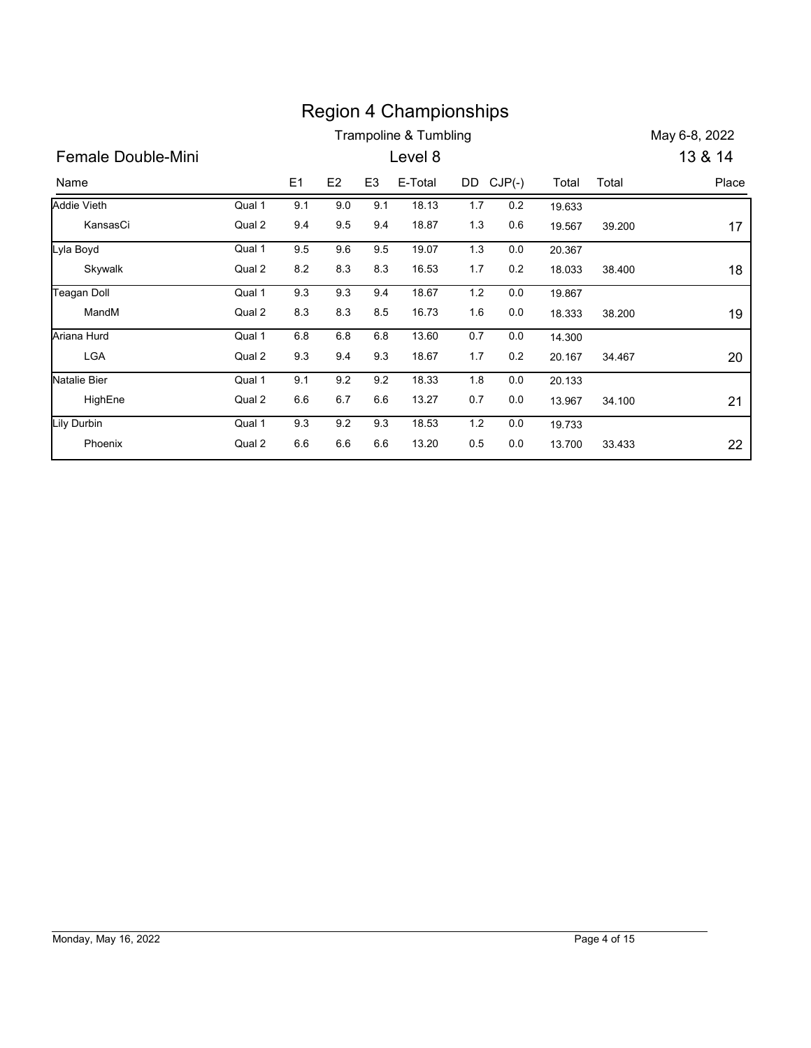|                                |                  |            |            |                | <b>Region 4 Championships</b> |            |                |                  |        |               |
|--------------------------------|------------------|------------|------------|----------------|-------------------------------|------------|----------------|------------------|--------|---------------|
|                                |                  |            |            |                | Trampoline & Tumbling         |            |                |                  |        | May 6-8, 2022 |
| Female Double-Mini             |                  |            |            |                | Level 8                       |            |                |                  |        | 13 & 14       |
|                                |                  | E1         | E2         | E <sub>3</sub> | E-Total                       | DD CJP(-)  |                | Total            | Total  | Place         |
| Name                           |                  |            |            |                |                               |            |                |                  |        |               |
| <b>Addie Vieth</b><br>KansasCi | Qual 1<br>Qual 2 | 9.1<br>9.4 | 9.0<br>9.5 | 9.1<br>9.4     | 18.13<br>18.87                | 1.7<br>1.3 | 0.2<br>0.6     | 19.633<br>19.567 |        |               |
|                                | Qual 1           |            |            |                |                               |            |                |                  | 39.200 | 17            |
| Lyla Boyd<br>Skywalk           | Qual 2           | 9.5<br>8.2 | 9.6<br>8.3 | 9.5<br>8.3     | 19.07<br>16.53                | 1.3<br>1.7 | 0.0<br>$0.2\,$ | 20.367<br>18.033 | 38.400 |               |
|                                | Qual 1           | 9.3        | 9.3        | 9.4            | 18.67                         | 1.2        | 0.0            |                  |        | 18            |
| <b>Teagan Doll</b><br>MandM    | Qual 2           | 8.3        | 8.3        | 8.5            | 16.73                         | 1.6        | 0.0            | 19.867<br>18.333 | 38.200 | 19            |
| Ariana Hurd                    | Qual 1           | 6.8        | 6.8        | 6.8            | 13.60                         | 0.7        | 0.0            |                  |        |               |
| <b>LGA</b>                     | Qual 2           | 9.3        | 9.4        | 9.3            | 18.67                         | 1.7        | 0.2            | 14.300<br>20.167 | 34.467 | 20            |
| <b>Natalie Bier</b>            | Qual 1           | 9.1        | 9.2        | 9.2            | 18.33                         | 1.8        | 0.0            |                  |        |               |
| HighEne                        | Qual 2           | 6.6        | 6.7        | 6.6            | 13.27                         | 0.7        | 0.0            | 20.133<br>13.967 | 34.100 | 21            |
|                                |                  |            |            |                |                               |            |                |                  |        |               |
| <b>Lily Durbin</b><br>Phoenix  | Qual 1<br>Qual 2 | 9.3<br>6.6 | 9.2<br>6.6 | 9.3<br>6.6     | 18.53<br>13.20                | 1.2<br>0.5 | 0.0<br>0.0     | 19.733<br>13.700 | 33.433 |               |
|                                |                  |            |            |                |                               |            |                |                  |        | 22            |

# Monday, May 16, 2022 Page 4 of 15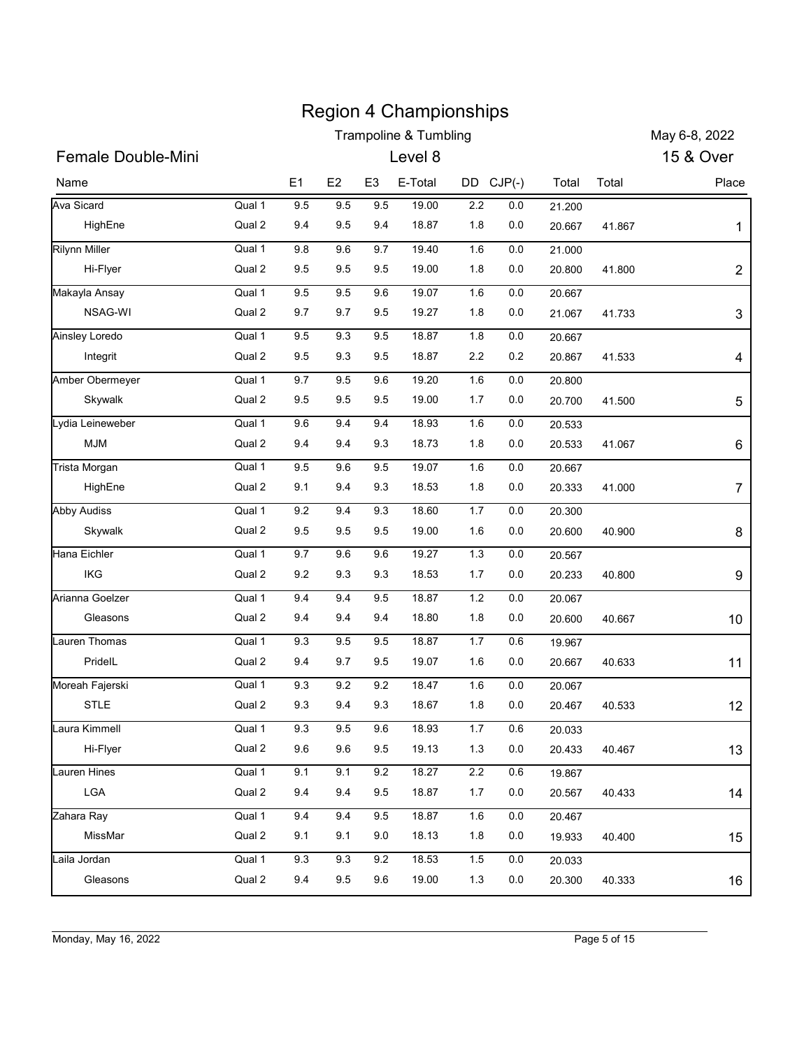|                                  |                  |            |                |                | <b>Region 4 Championships</b><br><b>Trampoline &amp; Tumbling</b> |            |            |                  |        | May 6-8, 2022  |
|----------------------------------|------------------|------------|----------------|----------------|-------------------------------------------------------------------|------------|------------|------------------|--------|----------------|
| <b>Female Double-Mini</b>        |                  |            |                |                | Level 8                                                           |            |            |                  |        | 15 & Over      |
|                                  |                  |            |                |                |                                                                   |            |            |                  |        |                |
| Name                             |                  | E1         | E <sub>2</sub> | E <sub>3</sub> | E-Total                                                           | DD CJP(-)  |            | Total            | Total  | Place          |
| Ava Sicard                       | Qual 1<br>Qual 2 | 9.5<br>9.4 | 9.5<br>9.5     | 9.5<br>9.4     | 19.00<br>18.87                                                    | 2.2        | 0.0        | 21.200           |        |                |
| HighEne                          |                  |            |                |                |                                                                   | 1.8        | 0.0        | 20.667           | 41.867 | 1              |
| <b>Rilynn Miller</b><br>Hi-Flyer | Qual 1<br>Qual 2 | 9.8<br>9.5 | 9.6<br>9.5     | 9.7<br>9.5     | 19.40<br>19.00                                                    | 1.6<br>1.8 | 0.0<br>0.0 | 21.000<br>20.800 | 41.800 | $\overline{c}$ |
| Makayla Ansay                    | Qual 1           | 9.5        | 9.5            | 9.6            | 19.07                                                             | 1.6        | 0.0        | 20.667           |        |                |
| NSAG-WI                          | Qual 2           | 9.7        | 9.7            | 9.5            | 19.27                                                             | 1.8        | 0.0        | 21.067           | 41.733 | 3              |
| Ainsley Loredo                   | Qual 1           | 9.5        | 9.3            | 9.5            | 18.87                                                             | 1.8        | 0.0        | 20.667           |        |                |
| Integrit                         | Qual 2           | 9.5        | 9.3            | 9.5            | 18.87                                                             | $2.2\,$    | 0.2        | 20.867           | 41.533 | 4              |
| Amber Obermeyer                  | Qual 1           | 9.7        | 9.5            | 9.6            | 19.20                                                             | 1.6        | 0.0        | 20.800           |        |                |
| Skywalk                          | Qual 2           | 9.5        | 9.5            | 9.5            | 19.00                                                             | 1.7        | 0.0        | 20.700           | 41.500 | 5              |
| Lydia Leineweber                 | Qual 1           | 9.6        | 9.4            | 9.4            | 18.93                                                             | 1.6        | 0.0        | 20.533           |        |                |
| <b>MJM</b>                       | Qual 2           | 9.4        | 9.4            | 9.3            | 18.73                                                             | 1.8        | $0.0\,$    | 20.533           | 41.067 | 6              |
| Trista Morgan                    | Qual 1           | $9.5\,$    | $9.6\,$        | 9.5            | 19.07                                                             | 1.6        | $0.0\,$    | 20.667           |        |                |
| HighEne                          | Qual 2           | 9.1        | 9.4            | 9.3            | 18.53                                                             | 1.8        | 0.0        | 20.333           | 41.000 | $\overline{7}$ |
| <b>Abby Audiss</b>               | Qual 1           | $9.2\,$    | 9.4            | $9.3\,$        | 18.60                                                             | $1.7$      | $0.0\,$    | 20.300           |        |                |
| Skywalk                          | Qual 2           | 9.5        | 9.5            | 9.5            | 19.00                                                             | 1.6        | 0.0        | 20.600           | 40.900 | 8              |
| Hana Eichler                     | Qual 1           | 9.7        | 9.6            | 9.6            | 19.27                                                             | 1.3        | $0.0\,$    | 20.567           |        |                |
| IKG                              | Qual 2           | 9.2        | 9.3            | 9.3            | 18.53                                                             | 1.7        | 0.0        | 20.233           | 40.800 | 9              |
| Arianna Goelzer                  | Qual 1           | 9.4        | 9.4            | $9.5\,$        | 18.87                                                             | 1.2        | 0.0        | 20.067           |        |                |
| Gleasons                         | Qual 2           | 9.4        | 9.4            | 9.4            | 18.80                                                             | 1.8        | $0.0\,$    | 20.600           | 40.667 | 10             |
| Lauren Thomas                    | Qual 1           | $9.3\,$    | $9.5\,$        | $9.5\,$        | 18.87                                                             | $1.7$      | $0.6\,$    | 19.967           |        |                |
| PridelL                          | Qual 2           | 9.4        | 9.7            | 9.5            | 19.07                                                             | 1.6        | 0.0        | 20.667           | 40.633 | 11             |
| Moreah Fajerski                  | Qual 1           | $9.3\,$    | $9.2\,$        | $9.2\,$        | 18.47                                                             | 1.6        | $0.0\,$    | 20.067           |        |                |
| STLE                             | Qual 2           | 9.3        | 9.4            | 9.3            | 18.67                                                             | 1.8        | $0.0\,$    | 20.467           | 40.533 | 12             |
| Laura Kimmell                    | Qual 1           | 9.3        | $9.5\,$        | $9.6\,$        | 18.93                                                             | $1.7$      | $0.6\,$    | 20.033           |        |                |
| Hi-Flyer                         | Qual 2           | 9.6        | 9.6            | 9.5            | 19.13                                                             | 1.3        | 0.0        | 20.433           | 40.467 | 13             |
| Lauren Hines                     | Qual 1           | 9.1        | 9.1            | $9.2\,$        | 18.27                                                             | $2.2\,$    | 0.6        | 19.867           |        |                |
| LGA                              | Qual 2           | 9.4        | 9.4            | $9.5\,$        | 18.87                                                             | 1.7        | $0.0\,$    | 20.567           | 40.433 | 14             |
| Zahara Ray                       | Qual 1           | 9.4        | 9.4            | $9.5\,$        | 18.87                                                             | 1.6        | $0.0\,$    | 20.467           |        |                |
| MissMar                          | Qual 2           | 9.1        | 9.1            | 9.0            | 18.13                                                             | 1.8        | 0.0        | 19.933           | 40.400 | 15             |
| Laila Jordan                     | Qual 1           | 9.3        | 9.3            | $9.2\,$        | 18.53                                                             | 1.5        | $0.0\,$    | 20.033           |        |                |
| Gleasons                         | Qual 2           | 9.4        | 9.5            | 9.6            | 19.00                                                             | 1.3        | 0.0        | 20.300           | 40.333 | 16             |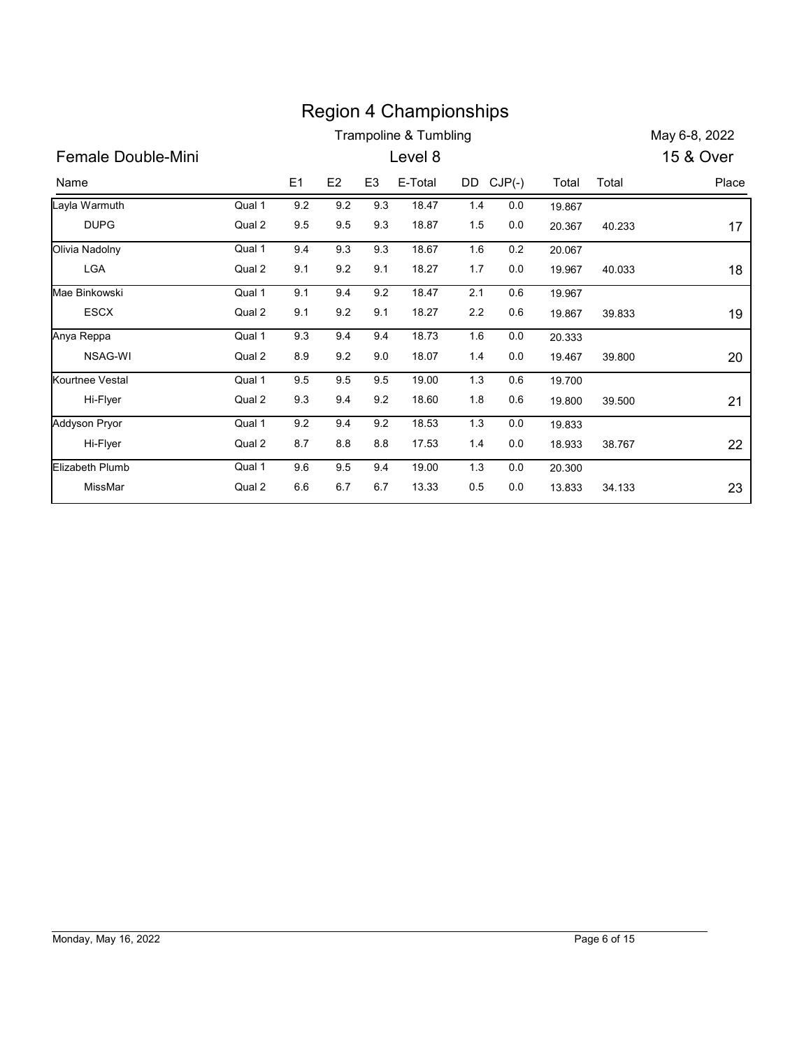|                        |        |     |     |                | <b>Region 4 Championships</b>    |           |         |        |        |               |
|------------------------|--------|-----|-----|----------------|----------------------------------|-----------|---------|--------|--------|---------------|
|                        |        |     |     |                | <b>Trampoline &amp; Tumbling</b> |           |         |        |        | May 6-8, 2022 |
| Female Double-Mini     |        |     |     |                | Level 8                          |           |         |        |        | 15 & Over     |
| Name                   |        | E1  | E2  | E <sub>3</sub> | E-Total                          | DD CJP(-) |         | Total  | Total  | Place         |
| Layla Warmuth          | Qual 1 | 9.2 | 9.2 | 9.3            | 18.47                            | 1.4       | 0.0     | 19.867 |        |               |
| <b>DUPG</b>            | Qual 2 | 9.5 | 9.5 | 9.3            | 18.87                            | 1.5       | $0.0\,$ | 20.367 | 40.233 | 17            |
| Olivia Nadolny         | Qual 1 | 9.4 | 9.3 | 9.3            | 18.67                            | 1.6       | 0.2     | 20.067 |        |               |
| LGA                    | Qual 2 | 9.1 | 9.2 | 9.1            | 18.27                            | 1.7       | 0.0     | 19.967 | 40.033 | 18            |
| Mae Binkowski          | Qual 1 | 9.1 | 9.4 | 9.2            | 18.47                            | 2.1       | 0.6     | 19.967 |        |               |
| <b>ESCX</b>            | Qual 2 | 9.1 | 9.2 | 9.1            | 18.27                            | 2.2       | 0.6     | 19.867 | 39.833 | 19            |
| Anya Reppa             | Qual 1 | 9.3 | 9.4 | 9.4            | 18.73                            | 1.6       | 0.0     | 20.333 |        |               |
| NSAG-WI                | Qual 2 | 8.9 | 9.2 | $9.0\,$        | 18.07                            | 1.4       | 0.0     | 19.467 | 39.800 | 20            |
| Kourtnee Vestal        | Qual 1 | 9.5 | 9.5 | 9.5            | 19.00                            | 1.3       | 0.6     | 19.700 |        |               |
| Hi-Flyer               | Qual 2 | 9.3 | 9.4 | 9.2            | 18.60                            | 1.8       | 0.6     | 19.800 | 39.500 | 21            |
| <b>Addyson Pryor</b>   | Qual 1 | 9.2 | 9.4 | 9.2            | 18.53                            | 1.3       | 0.0     | 19.833 |        |               |
| Hi-Flyer               | Qual 2 | 8.7 | 8.8 | 8.8            | 17.53                            | 1.4       | 0.0     | 18.933 | 38.767 | 22            |
| <b>Elizabeth Plumb</b> | Qual 1 | 9.6 | 9.5 | 9.4            | 19.00                            | 1.3       | 0.0     | 20.300 |        |               |
|                        |        |     |     |                |                                  |           |         |        |        |               |
| MissMar                | Qual 2 | 6.6 | 6.7 | 6.7            | 13.33                            | 0.5       | 0.0     | 13.833 | 34.133 | 23            |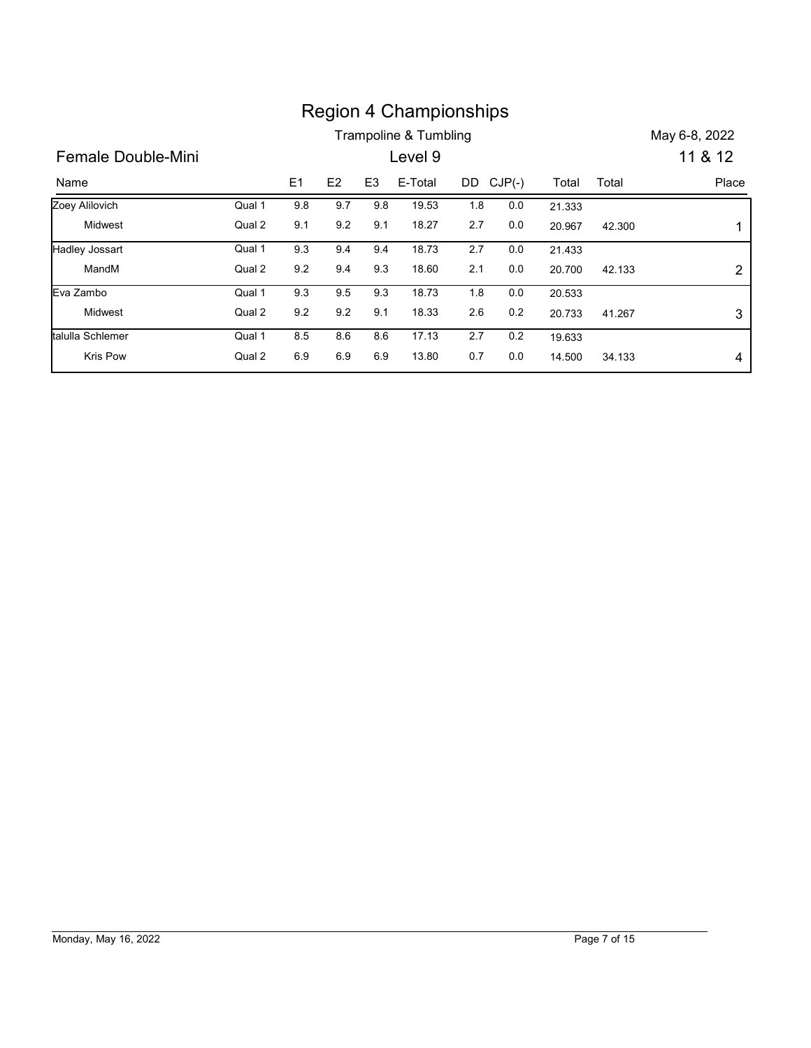|                    |        |         |     |                | <b>Region 4 Championships</b> |         |           |        |        |                |
|--------------------|--------|---------|-----|----------------|-------------------------------|---------|-----------|--------|--------|----------------|
|                    |        |         |     |                | Trampoline & Tumbling         |         |           |        |        | May 6-8, 2022  |
| Female Double-Mini |        |         |     |                | Level 9                       |         |           |        |        | 11 & 12        |
| Name               |        | E1      | E2  | E <sub>3</sub> | E-Total                       |         | DD CJP(-) | Total  | Total  | Place          |
| Zoey Alilovich     | Qual 1 | 9.8     | 9.7 | 9.8            | 19.53                         | 1.8     | 0.0       | 21.333 |        |                |
| Midwest            | Qual 2 | 9.1     | 9.2 | 9.1            | 18.27                         | 2.7     | $0.0\,$   | 20.967 | 42.300 | 1              |
| Hadley Jossart     | Qual 1 | 9.3     | 9.4 | 9.4            | 18.73                         | $2.7\,$ | $0.0\,$   | 21.433 |        |                |
| MandM              | Qual 2 | 9.2     | 9.4 | 9.3            | 18.60                         | 2.1     | 0.0       | 20.700 | 42.133 |                |
| Eva Zambo          | Qual 1 | 9.3     | 9.5 | 9.3            | 18.73                         | 1.8     | 0.0       | 20.533 |        | $\overline{c}$ |
| Midwest            | Qual 2 | $9.2\,$ | 9.2 | 9.1            | 18.33                         | $2.6\,$ | 0.2       | 20.733 | 41.267 | 3              |
| talulla Schlemer   | Qual 1 | 8.5     | 8.6 | 8.6            | 17.13                         | 2.7     | 0.2       | 19.633 |        |                |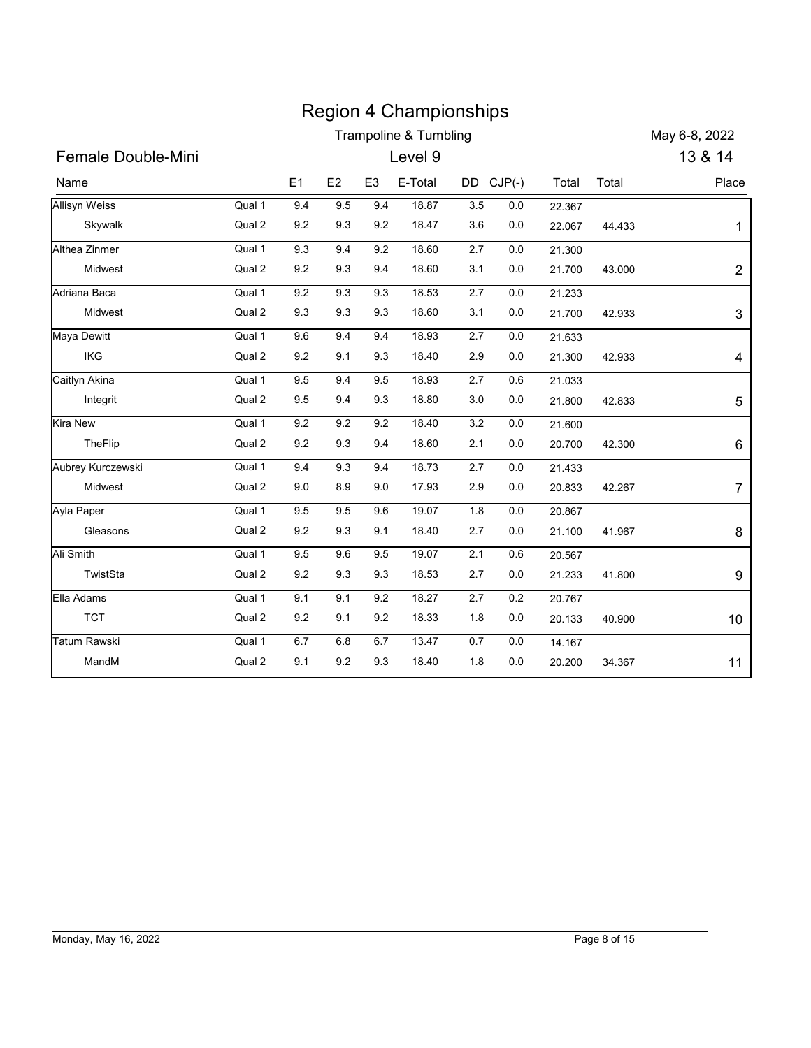|                          |                  |                |                |                | <b>Region 4 Championships</b> |                |                    |                  |        |                |
|--------------------------|------------------|----------------|----------------|----------------|-------------------------------|----------------|--------------------|------------------|--------|----------------|
|                          |                  |                |                |                | Trampoline & Tumbling         |                |                    |                  |        | May 6-8, 2022  |
| Female Double-Mini       |                  |                |                |                | Level 9                       |                |                    |                  |        | 13 & 14        |
| Name                     |                  | E1             | E <sub>2</sub> | E <sub>3</sub> | E-Total                       |                | DD CJP(-)          | Total            | Total  | Place          |
| <b>Allisyn Weiss</b>     | Qual 1           | 9.4            | 9.5            | 9.4            | 18.87                         | 3.5            | 0.0                | 22.367           |        |                |
| Skywalk                  | Qual 2           | 9.2            | 9.3            | 9.2            | 18.47                         | 3.6            | 0.0                | 22.067           | 44.433 | 1              |
| Althea Zinmer<br>Midwest | Qual 1<br>Qual 2 | 9.3<br>9.2     | 9.4<br>9.3     | 9.2<br>9.4     | 18.60<br>18.60                | 2.7<br>3.1     | 0.0<br>0.0         | 21.300<br>21.700 | 43.000 | $\overline{c}$ |
| Adriana Baca             | Qual 1           | 9.2            | 9.3            | 9.3            | 18.53                         | $2.7\,$        | 0.0                | 21.233           |        |                |
| Midwest                  | Qual 2           | 9.3            | 9.3            | 9.3            | 18.60                         | 3.1            | 0.0                | 21.700           | 42.933 | 3              |
| Maya Dewitt              | Qual 1           | 9.6            | 9.4            | 9.4            | 18.93                         | 2.7            | 0.0                | 21.633           |        |                |
| IKG                      | Qual 2           | 9.2            | 9.1            | 9.3            | 18.40                         | 2.9            | 0.0                | 21.300           | 42.933 | 4              |
| Caitlyn Akina            | Qual 1           | 9.5            | 9.4            | 9.5            | 18.93                         | $2.7\,$        | 0.6                | 21.033           |        |                |
| Integrit                 | Qual 2           | 9.5            | 9.4            | 9.3            | 18.80                         | $3.0\,$        | $0.0\,$            | 21.800           | 42.833 | 5              |
| Kira New                 | Qual 1           | 9.2            | 9.2            | 9.2            | 18.40                         | $3.2\,$        | $0.0\,$            | 21.600           |        |                |
| TheFlip                  | Qual 2           | 9.2            | 9.3            | 9.4            | 18.60                         | 2.1            | $0.0\,$            | 20.700           | 42.300 | 6              |
| Aubrey Kurczewski        | Qual 1           | 9.4            | 9.3            | 9.4            | 18.73                         | 2.7            | $0.0\,$            | 21.433           |        |                |
| Midwest                  | Qual 2           | 9.0            | 8.9            | 9.0            | 17.93                         | 2.9            | $0.0\,$            | 20.833           | 42.267 | $\overline{7}$ |
| Ayla Paper               | Qual 1           | 9.5            | 9.5            | 9.6            | 19.07                         | 1.8            | $0.0\,$            | 20.867           |        |                |
| Gleasons                 | Qual 2           | $9.2\,$        | 9.3            | 9.1            | 18.40                         | 2.7            | $0.0\,$            | 21.100           | 41.967 | 8              |
| Ali Smith<br>TwistSta    | Qual 1<br>Qual 2 | 9.5<br>$9.2\,$ | 9.6<br>9.3     | 9.5<br>9.3     | 19.07<br>18.53                | 2.1<br>2.7     | $0.6\,$<br>$0.0\,$ | 20.567<br>21.233 | 41.800 |                |
| Ella Adams               | Qual 1           | 9.1            |                | 9.2            |                               |                |                    |                  |        | 9              |
| <b>TCT</b>               | Qual 2           | 9.2            | 9.1<br>9.1     | $9.2\,$        | 18.27<br>18.33                | $2.7\,$<br>1.8 | $0.2\,$<br>$0.0\,$ | 20.767<br>20.133 | 40.900 | $10$           |
| Tatum Rawski             | Qual 1           | $6.7\,$        | $6.8\,$        | 6.7            | 13.47                         | $0.7\,$        | $0.0\,$            | 14.167           |        |                |
| MandM                    | Qual 2           | 9.1            | 9.2            | 9.3            | 18.40                         | 1.8            | 0.0                | 20.200           | 34.367 | 11             |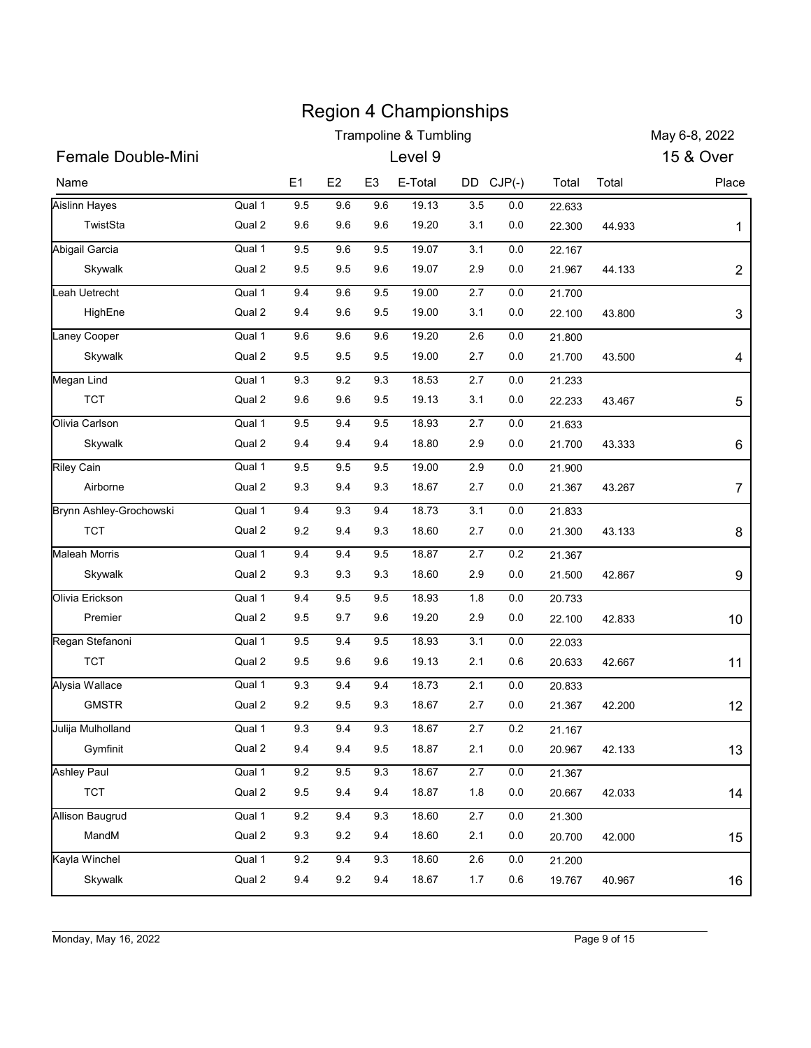|                               |                  |            |                |                | <b>Region 4 Championships</b><br><b>Trampoline &amp; Tumbling</b> |            |                |                  |        | May 6-8, 2022  |
|-------------------------------|------------------|------------|----------------|----------------|-------------------------------------------------------------------|------------|----------------|------------------|--------|----------------|
| <b>Female Double-Mini</b>     |                  |            |                |                | Level 9                                                           |            |                |                  |        | 15 & Over      |
|                               |                  |            |                |                |                                                                   |            |                |                  |        |                |
| Name                          |                  | E1         | E2             | E <sub>3</sub> | E-Total                                                           | DD CJP(-)  |                | Total            | Total  | Place          |
| Aislinn Hayes                 | Qual 1           | 9.5        | 9.6            | 9.6            | 19.13                                                             | 3.5        | 0.0            | 22.633           |        |                |
| TwistSta                      | Qual 2           | 9.6        | 9.6            | 9.6            | 19.20                                                             | 3.1        | 0.0            | 22.300           | 44.933 | $\mathbf 1$    |
| Abigail Garcia                | Qual 1<br>Qual 2 | 9.5<br>9.5 | 9.6            | 9.5<br>9.6     | 19.07<br>19.07                                                    | 3.1<br>2.9 | 0.0<br>0.0     | 22.167           |        |                |
| Skywalk                       |                  |            | 9.5            |                |                                                                   |            |                | 21.967           | 44.133 | $\overline{c}$ |
| Leah Uetrecht<br>HighEne      | Qual 1<br>Qual 2 | 9.4<br>9.4 | 9.6<br>9.6     | 9.5<br>9.5     | 19.00<br>19.00                                                    | 2.7<br>3.1 | 0.0<br>0.0     | 21.700           |        |                |
| Laney Cooper                  |                  |            |                |                |                                                                   |            |                | 22.100           | 43.800 | 3              |
| Skywalk                       | Qual 1<br>Qual 2 | 9.6<br>9.5 | 9.6<br>9.5     | 9.6<br>9.5     | 19.20<br>19.00                                                    | 2.6<br>2.7 | 0.0<br>0.0     | 21.800<br>21.700 | 43.500 | 4              |
|                               | Qual 1           | 9.3        | 9.2            | 9.3            | 18.53                                                             | 2.7        | 0.0            |                  |        |                |
| Megan Lind<br><b>TCT</b>      | Qual 2           | 9.6        | 9.6            | 9.5            | 19.13                                                             | 3.1        | 0.0            | 21.233<br>22.233 | 43.467 | 5              |
| Olivia Carlson                | Qual 1           | $9.5\,$    | 9.4            | $9.5\,$        | 18.93                                                             | 2.7        |                |                  |        |                |
| Skywalk                       | Qual 2           | 9.4        | 9.4            | 9.4            | 18.80                                                             | 2.9        | $0.0\,$<br>0.0 | 21.633<br>21.700 | 43.333 | 6              |
| <b>Riley Cain</b>             |                  | 9.5        | 9.5            | 9.5            | 19.00                                                             |            |                |                  |        |                |
| Airborne                      | Qual 1<br>Qual 2 | 9.3        | 9.4            | 9.3            | 18.67                                                             | 2.9<br>2.7 | $0.0\,$<br>0.0 | 21.900<br>21.367 | 43.267 | $\overline{7}$ |
| Brynn Ashley-Grochowski       |                  |            |                |                |                                                                   |            |                |                  |        |                |
| <b>TCT</b>                    | Qual 1<br>Qual 2 | 9.4<br>9.2 | $9.3\,$<br>9.4 | 9.4<br>9.3     | 18.73<br>18.60                                                    | 3.1<br>2.7 | $0.0\,$<br>0.0 | 21.833<br>21.300 | 43.133 |                |
| <b>Maleah Morris</b>          |                  |            |                |                |                                                                   |            |                |                  |        | 8              |
| Skywalk                       | Qual 1<br>Qual 2 | 9.4<br>9.3 | 9.4<br>9.3     | 9.5<br>9.3     | 18.87<br>18.60                                                    | 2.7<br>2.9 | 0.2<br>0.0     | 21.367<br>21.500 | 42.867 |                |
| Olivia Erickson               |                  |            |                |                |                                                                   |            |                |                  |        | 9              |
| Premier                       | Qual 1<br>Qual 2 | 9.4<br>9.5 | $9.5\,$<br>9.7 | $9.5\,$<br>9.6 | 18.93<br>19.20                                                    | 1.8<br>2.9 | 0.0<br>$0.0\,$ | 20.733<br>22.100 | 42.833 |                |
|                               |                  |            |                |                |                                                                   |            |                |                  |        | 10             |
| Regan Stefanoni<br><b>TCT</b> | Qual 1           | $9.5\,$    | 9.4            | $9.5\,$        | 18.93                                                             | 3.1        | $0.0\,$        | 22.033           |        |                |
|                               | Qual 2           | 9.5        | 9.6            | 9.6            | 19.13                                                             | 2.1        | 0.6            | 20.633           | 42.667 | 11             |
| Alysia Wallace                | Qual 1           | $9.3\,$    | 9.4            | 9.4            | 18.73                                                             | 2.1        | $0.0\,$        | 20.833           |        |                |
| <b>GMSTR</b>                  | Qual 2           | $9.2\,$    | 9.5            | 9.3            | 18.67                                                             | 2.7        | $0.0\,$        | 21.367           | 42.200 | 12             |
| Julija Mulholland             | Qual 1           | 9.3        | 9.4            | 9.3            | 18.67                                                             | $2.7\,$    | 0.2            | 21.167           |        |                |
| Gymfinit                      | Qual 2           | 9.4        | 9.4            | 9.5            | 18.87                                                             | 2.1        | 0.0            | 20.967           | 42.133 | 13             |
| <b>Ashley Paul</b>            | Qual 1           | 9.2        | $9.5\,$        | $9.3\,$        | 18.67                                                             | $2.7$      | 0.0            | 21.367           |        |                |
| <b>TCT</b>                    | Qual 2           | $9.5\,$    | 9.4            | 9.4            | 18.87                                                             | 1.8        | $0.0\,$        | 20.667           | 42.033 | 14             |
| <b>Allison Baugrud</b>        | Qual 1           | 9.2        | 9.4            | $9.3\,$        | 18.60                                                             | 2.7        | $0.0\,$        | 21.300           |        |                |
| MandM                         | Qual 2           | 9.3        | 9.2            | 9.4            | 18.60                                                             | 2.1        | 0.0            | 20.700           | 42.000 | 15             |
| Kayla Winchel                 | Qual 1           | $9.2\,$    | 9.4            | 9.3            | 18.60                                                             | 2.6        | 0.0            | 21.200           |        |                |
| Skywalk                       | Qual 2           | 9.4        | 9.2            | 9.4            | 18.67                                                             | 1.7        | 0.6            | 19.767           | 40.967 | 16             |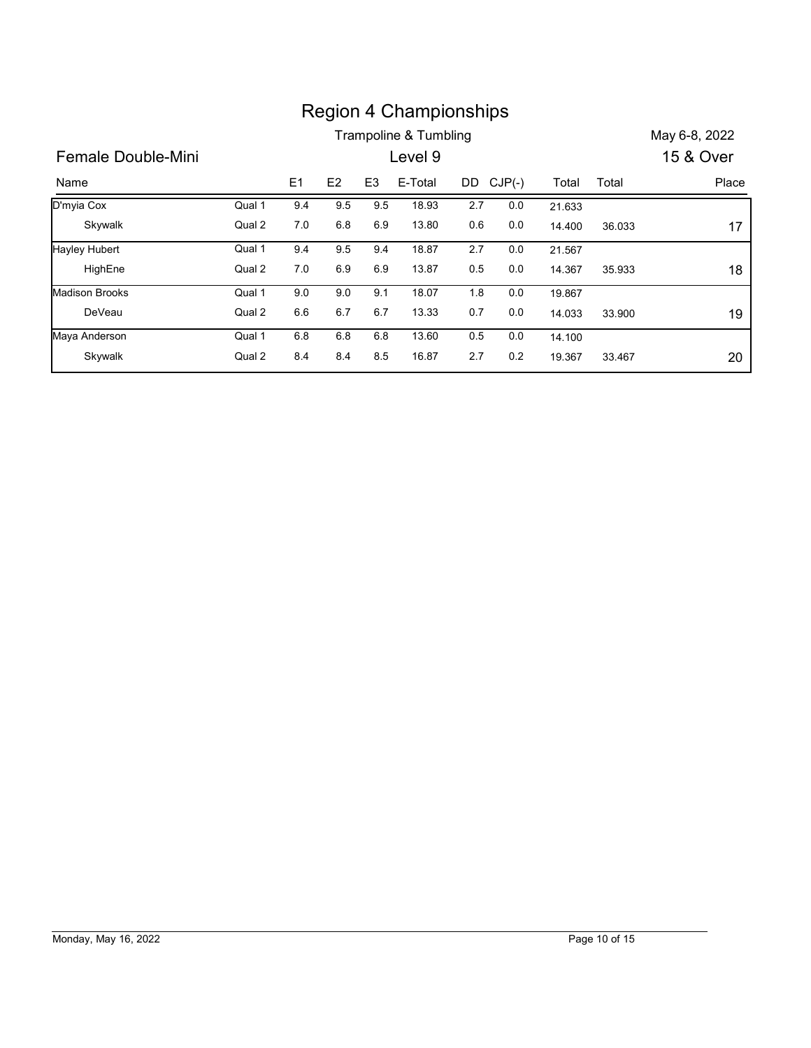|                       |        |     |                |                | <b>Region 4 Championships</b> |     |           |        |        |               |
|-----------------------|--------|-----|----------------|----------------|-------------------------------|-----|-----------|--------|--------|---------------|
|                       |        |     |                |                | Trampoline & Tumbling         |     |           |        |        | May 6-8, 2022 |
|                       |        |     |                |                | Level 9                       |     |           |        |        | 15 & Over     |
| Female Double-Mini    |        |     |                |                |                               |     |           |        |        |               |
| Name                  |        | E1  | E <sub>2</sub> | E <sub>3</sub> | E-Total                       |     | DD CJP(-) | Total  | Total  | Place         |
| D'myia Cox            | Qual 1 | 9.4 | 9.5            | 9.5            | 18.93                         | 2.7 | 0.0       | 21.633 |        |               |
| Skywalk               | Qual 2 | 7.0 | 6.8            | 6.9            | 13.80                         | 0.6 | 0.0       | 14.400 | 36.033 | 17            |
| <b>Hayley Hubert</b>  | Qual 1 | 9.4 | 9.5            | 9.4            | 18.87                         | 2.7 | 0.0       | 21.567 |        |               |
| HighEne               | Qual 2 | 7.0 | 6.9            | 6.9            | 13.87                         | 0.5 | 0.0       | 14.367 | 35.933 |               |
| <b>Madison Brooks</b> | Qual 1 | 9.0 | 9.0            | 9.1            | 18.07                         | 1.8 | 0.0       | 19.867 |        | 18            |
| DeVeau                | Qual 2 | 6.6 | 6.7            | 6.7            | 13.33                         | 0.7 | 0.0       | 14.033 | 33.900 | 19            |
| Maya Anderson         | Qual 1 | 6.8 | 6.8            | 6.8            | 13.60                         | 0.5 | 0.0       | 14.100 |        |               |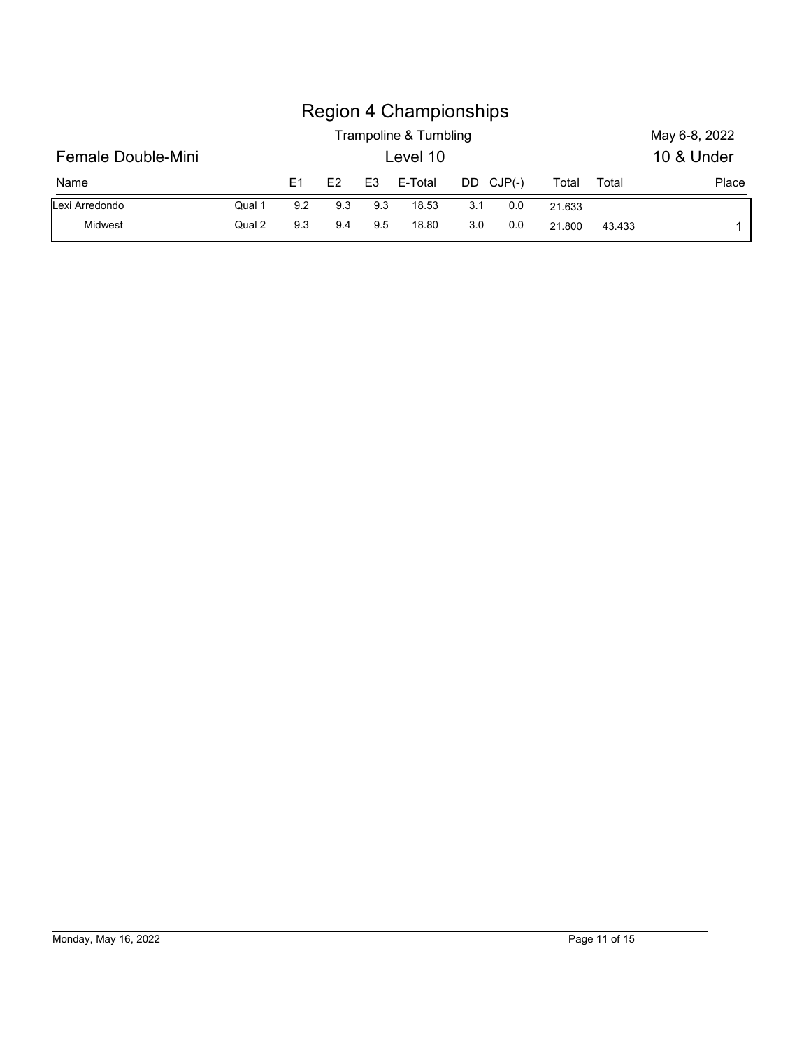| Female Double-Mini |        |     |     |                | <b>Region 4 Championships</b><br>Trampoline & Tumbling<br>Level 10 |     |           |        |       | May 6-8, 2022<br>10 & Under |
|--------------------|--------|-----|-----|----------------|--------------------------------------------------------------------|-----|-----------|--------|-------|-----------------------------|
| Name               |        | E1  | E2  | E <sub>3</sub> | E-Total                                                            |     | DD CJP(-) | Total  | Total | Place                       |
| Lexi Arredondo     | Qual 1 | 9.2 | 9.3 | 9.3            | 18.53                                                              | 3.1 | 0.0       | 21.633 |       |                             |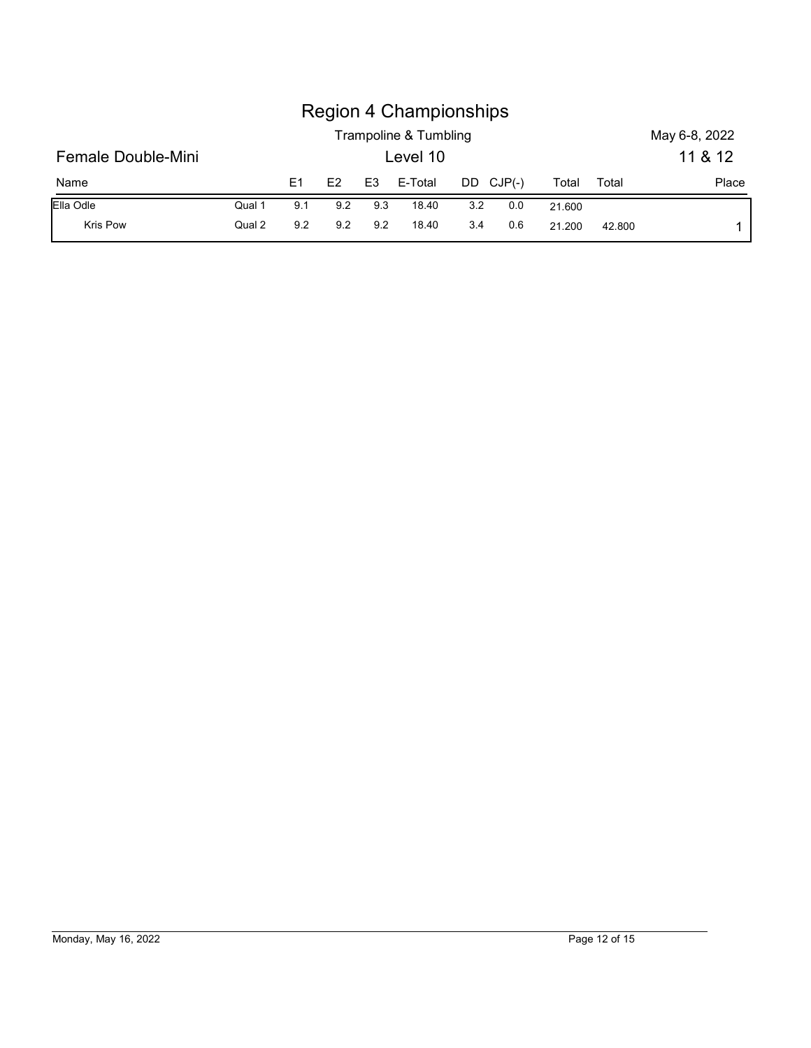|                    |        |     |     |                | <b>Region 4 Championships</b><br>Trampoline & Tumbling |     |           |        |       | May 6-8, 2022 |
|--------------------|--------|-----|-----|----------------|--------------------------------------------------------|-----|-----------|--------|-------|---------------|
| Female Double-Mini |        |     |     |                | Level 10                                               |     |           |        |       | 11 & 12       |
| Name               |        | E1  | E2  | E <sub>3</sub> | E-Total                                                |     | DD CJP(-) | Total  | Total | Place         |
| Ella Odle          | Qual 1 | 9.1 | 9.2 | 9.3            | 18.40                                                  | 3.2 | 0.0       | 21.600 |       |               |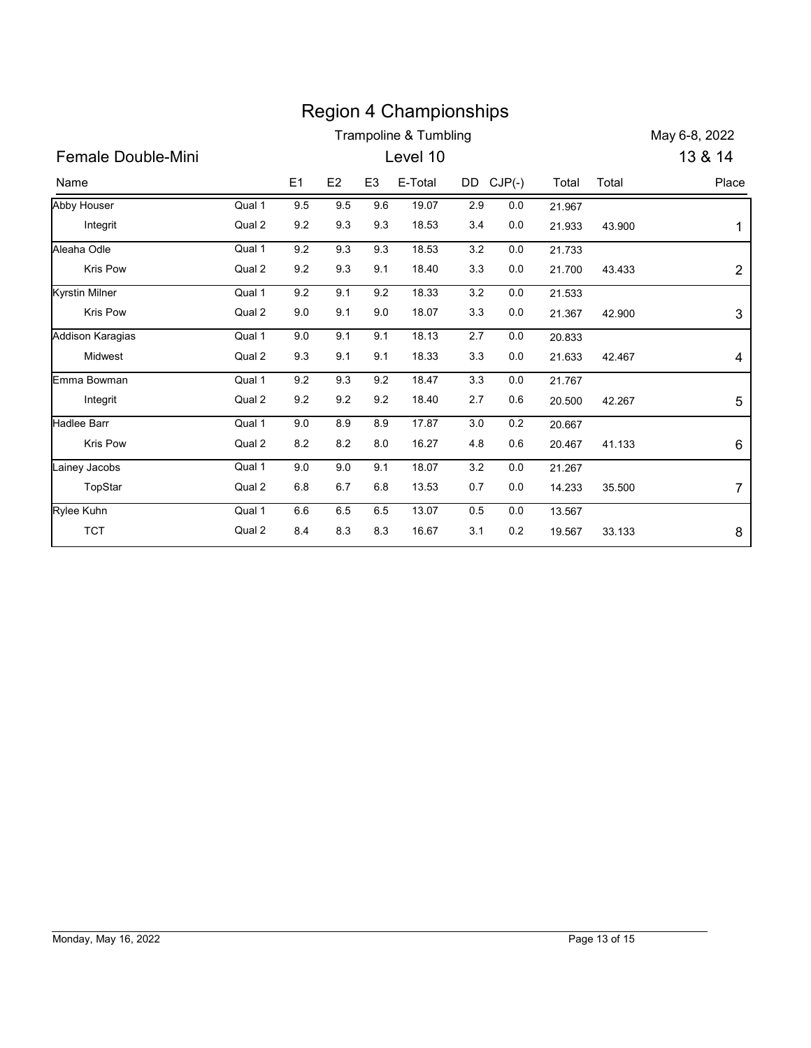|                       |        |           |                |                | <b>Region 4 Championships</b>    |           |         |        |        |                  |
|-----------------------|--------|-----------|----------------|----------------|----------------------------------|-----------|---------|--------|--------|------------------|
|                       |        |           |                |                | <b>Trampoline &amp; Tumbling</b> |           |         |        |        | May 6-8, 2022    |
| Female Double-Mini    |        |           |                |                | Level 10                         |           |         |        |        | 13 & 14          |
| Name                  |        | E1        | E <sub>2</sub> | E <sub>3</sub> | E-Total                          | DD CJP(-) |         | Total  | Total  | Place            |
| <b>Abby Houser</b>    | Qual 1 | 9.5       | 9.5            | 9.6            | 19.07                            | 2.9       | 0.0     | 21.967 |        |                  |
| Integrit              | Qual 2 | 9.2       | 9.3            | 9.3            | 18.53                            | 3.4       | 0.0     | 21.933 | 43.900 | 1                |
| Aleaha Odle           | Qual 1 | 9.2       | 9.3            | 9.3            | 18.53                            | $3.2\,$   | 0.0     | 21.733 |        |                  |
| Kris Pow              | Qual 2 | 9.2       | 9.3            | 9.1            | 18.40                            | 3.3       | 0.0     | 21.700 | 43.433 | $\overline{2}$   |
| <b>Kyrstin Milner</b> | Qual 1 | 9.2       | 9.1            | 9.2            | 18.33                            | 3.2       | 0.0     | 21.533 |        |                  |
| Kris Pow              | Qual 2 | 9.0       | 9.1            | 9.0            | 18.07                            | 3.3       | 0.0     | 21.367 | 42.900 | $\mathfrak{S}$   |
| Addison Karagias      | Qual 1 | 9.0       | 9.1            | 9.1            | 18.13                            | 2.7       | 0.0     | 20.833 |        |                  |
| Midwest               | Qual 2 | 9.3       | 9.1            | 9.1            | 18.33                            | 3.3       | 0.0     | 21.633 | 42.467 | 4                |
| Emma Bowman           | Qual 1 | 9.2       | 9.3            | 9.2            | 18.47                            | 3.3       | 0.0     | 21.767 |        |                  |
| Integrit              | Qual 2 | 9.2       | 9.2            | 9.2            | 18.40                            | 2.7       | 0.6     | 20.500 | 42.267 | 5                |
| Hadlee Barr           | Qual 1 | $9.0\,$   | $8.9\,$        | 8.9            | 17.87                            | $3.0\,$   | 0.2     | 20.667 |        |                  |
| Kris Pow              | Qual 2 | $\bf 8.2$ | $8.2\,$        | $8.0\,$        | 16.27                            | 4.8       | 0.6     | 20.467 | 41.133 | 6                |
| Lainey Jacobs         | Qual 1 | 9.0       | 9.0            | 9.1            | 18.07                            | 3.2       | $0.0\,$ | 21.267 |        |                  |
| TopStar               | Qual 2 | $6.8\,$   | 6.7            | 6.8            | 13.53                            | 0.7       | 0.0     | 14.233 | 35.500 | $\boldsymbol{7}$ |
| Rylee Kuhn            | Qual 1 | 6.6       | 6.5            | 6.5            | 13.07                            | 0.5       | $0.0\,$ | 13.567 |        |                  |
| <b>TCT</b>            | Qual 2 | 8.4       | 8.3            | 8.3            | 16.67                            | 3.1       | $0.2\,$ | 19.567 | 33.133 | 8                |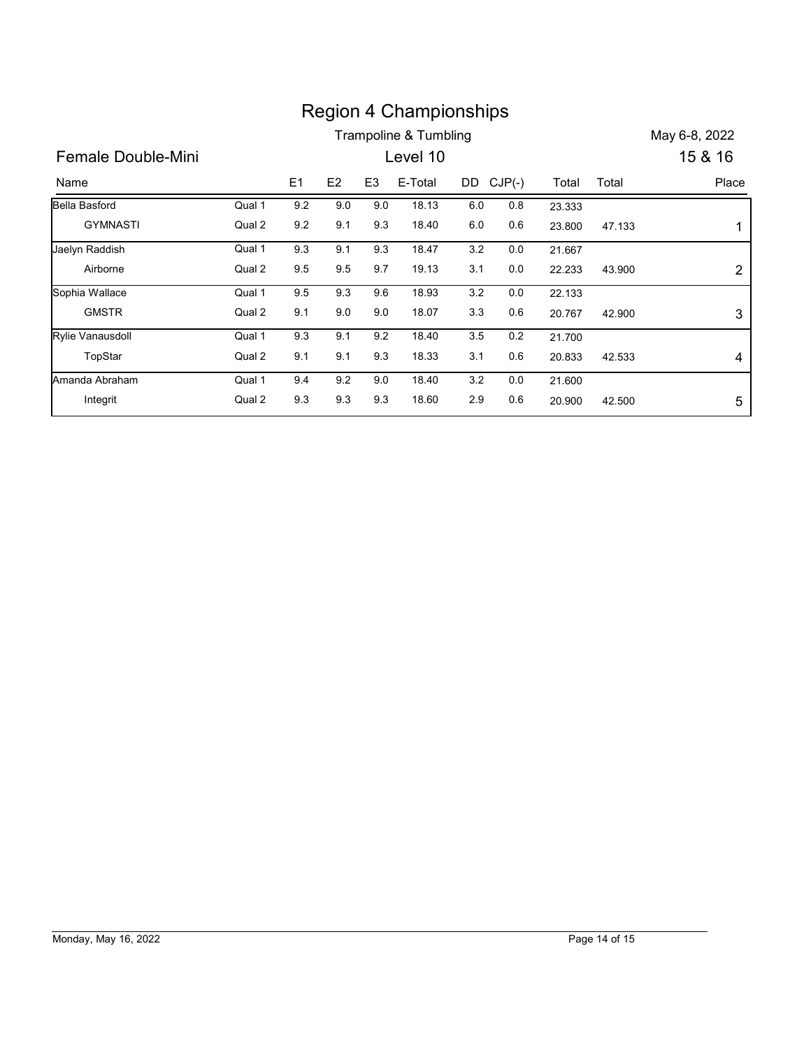|                      |        |         |     |                | <b>Region 4 Championships</b> |         |           |        |        |                |
|----------------------|--------|---------|-----|----------------|-------------------------------|---------|-----------|--------|--------|----------------|
|                      |        |         |     |                | Trampoline & Tumbling         |         |           |        |        | May 6-8, 2022  |
| Female Double-Mini   |        |         |     |                | Level 10                      |         |           |        |        | 15 & 16        |
| Name                 |        | E1      | E2  | E <sub>3</sub> | E-Total                       |         | DD CJP(-) | Total  | Total  | Place          |
|                      |        | 9.2     | 9.0 | 9.0            | 18.13                         | $6.0\,$ | 0.8       | 23.333 |        |                |
| <b>Bella Basford</b> | Qual 1 |         |     |                |                               |         |           |        |        |                |
| <b>GYMNASTI</b>      | Qual 2 | $9.2\,$ | 9.1 | 9.3            | 18.40                         | 6.0     | $0.6\,$   | 23.800 | 47.133 | 1              |
| Jaelyn Raddish       | Qual 1 | 9.3     | 9.1 | 9.3            | 18.47                         | 3.2     | $0.0\,$   | 21.667 |        |                |
| Airborne             | Qual 2 | 9.5     | 9.5 | 9.7            | 19.13                         | 3.1     | $0.0\,$   | 22.233 | 43.900 | $\overline{2}$ |
| Sophia Wallace       | Qual 1 | 9.5     | 9.3 | 9.6            | 18.93                         | 3.2     | 0.0       | 22.133 |        |                |
| <b>GMSTR</b>         | Qual 2 | 9.1     | 9.0 | 9.0            | 18.07                         | 3.3     | 0.6       | 20.767 | 42.900 |                |
| Rylie Vanausdoll     | Qual 1 | 9.3     | 9.1 | 9.2            | 18.40                         | 3.5     | 0.2       | 21.700 |        | 3              |
| TopStar              | Qual 2 | 9.1     | 9.1 | 9.3            | 18.33                         | 3.1     | 0.6       | 20.833 | 42.533 | 4              |
| Amanda Abraham       | Qual 1 | 9.4     | 9.2 | 9.0            | 18.40                         | $3.2\,$ | 0.0       | 21.600 |        |                |